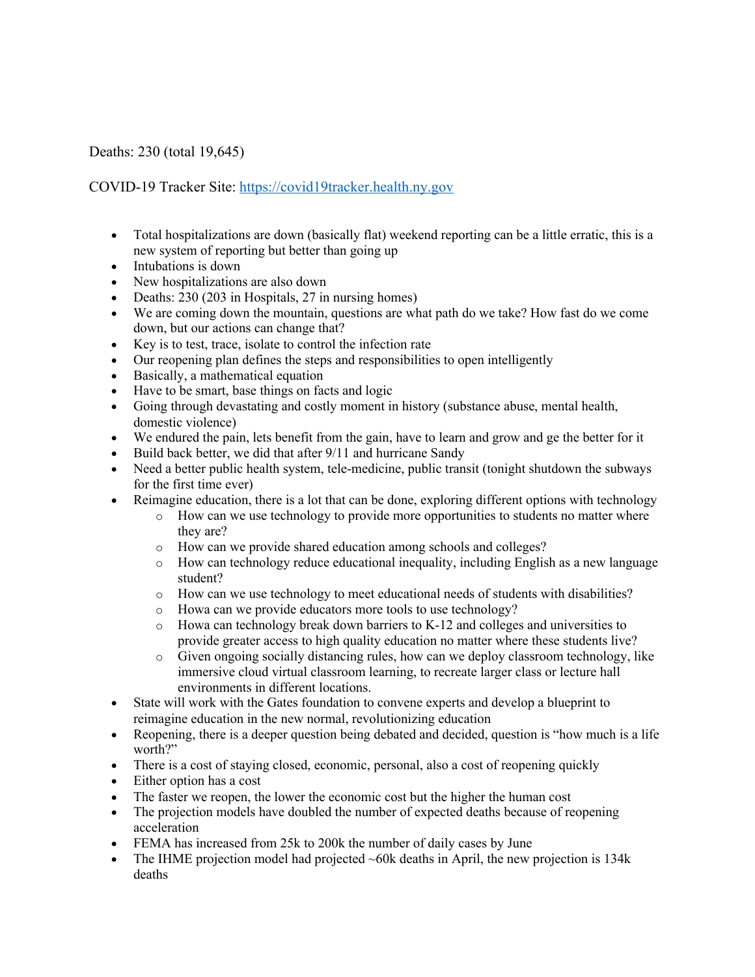## Deaths: 230 (total 19,645)

## COVID-19 Tracker Site: https://covid19tracker.health.ny.gov

- Total hospitalizations are down (basically flat) weekend reporting can be a little erratic, this is a new system of reporting but better than going up
- Intubations is down
- New hospitalizations are also down
- Deaths: 230 (203 in Hospitals, 27 in nursing homes)
- We are coming down the mountain, questions are what path do we take? How fast do we come down, but our actions can change that?
- Key is to test, trace, isolate to control the infection rate
- Our reopening plan defines the steps and responsibilities to open intelligently
- Basically, a mathematical equation
- Have to be smart, base things on facts and logic
- Going through devastating and costly moment in history (substance abuse, mental health, domestic violence)
- We endured the pain, lets benefit from the gain, have to learn and grow and ge the better for it
- Build back better, we did that after 9/11 and hurricane Sandy
- Need a better public health system, tele-medicine, public transit (tonight shutdown the subways for the first time ever)
- Reimagine education, there is a lot that can be done, exploring different options with technology
	- o How can we use technology to provide more opportunities to students no matter where they are?
	- o How can we provide shared education among schools and colleges?
	- o How can technology reduce educational inequality, including English as a new language student?
	- o How can we use technology to meet educational needs of students with disabilities?
	- o Howa can we provide educators more tools to use technology?
	- o Howa can technology break down barriers to K-12 and colleges and universities to provide greater access to high quality education no matter where these students live?
	- o Given ongoing socially distancing rules, how can we deploy classroom technology, like immersive cloud virtual classroom learning, to recreate larger class or lecture hall environments in different locations.
- State will work with the Gates foundation to convene experts and develop a blueprint to reimagine education in the new normal, revolutionizing education
- Reopening, there is a deeper question being debated and decided, question is "how much is a life" worth?"
- There is a cost of staying closed, economic, personal, also a cost of reopening quickly
- Either option has a cost
- The faster we reopen, the lower the economic cost but the higher the human cost
- The projection models have doubled the number of expected deaths because of reopening acceleration
- FEMA has increased from 25k to 200k the number of daily cases by June
- The IHME projection model had projected  $\sim$  60k deaths in April, the new projection is 134k deaths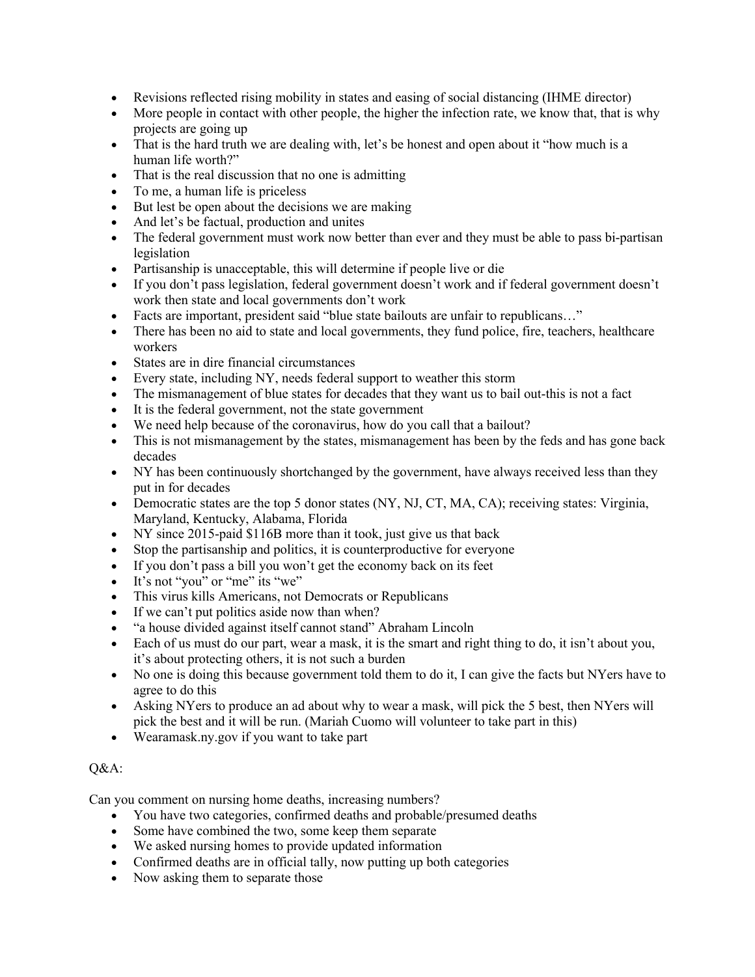- Revisions reflected rising mobility in states and easing of social distancing (IHME director)
- More people in contact with other people, the higher the infection rate, we know that, that is why projects are going up
- That is the hard truth we are dealing with, let's be honest and open about it "how much is a human life worth?"
- That is the real discussion that no one is admitting
- To me, a human life is priceless
- But lest be open about the decisions we are making
- And let's be factual, production and unites
- The federal government must work now better than ever and they must be able to pass bi-partisan legislation
- Partisanship is unacceptable, this will determine if people live or die
- If you don't pass legislation, federal government doesn't work and if federal government doesn't work then state and local governments don't work
- Facts are important, president said "blue state bailouts are unfair to republicans..."
- There has been no aid to state and local governments, they fund police, fire, teachers, healthcare workers
- States are in dire financial circumstances
- Every state, including NY, needs federal support to weather this storm
- The mismanagement of blue states for decades that they want us to bail out-this is not a fact
- It is the federal government, not the state government
- We need help because of the coronavirus, how do you call that a bailout?
- This is not mismanagement by the states, mismanagement has been by the feds and has gone back decades
- NY has been continuously shortchanged by the government, have always received less than they put in for decades
- Democratic states are the top 5 donor states (NY, NJ, CT, MA, CA); receiving states: Virginia, Maryland, Kentucky, Alabama, Florida
- NY since 2015-paid \$116B more than it took, just give us that back
- Stop the partisanship and politics, it is counterproductive for everyone
- If you don't pass a bill you won't get the economy back on its feet
- It's not "you" or "me" its "we"
- This virus kills Americans, not Democrats or Republicans
- If we can't put politics aside now than when?
- "a house divided against itself cannot stand" Abraham Lincoln
- Each of us must do our part, wear a mask, it is the smart and right thing to do, it isn't about you, it's about protecting others, it is not such a burden
- No one is doing this because government told them to do it, I can give the facts but NYers have to agree to do this
- Asking NYers to produce an ad about why to wear a mask, will pick the 5 best, then NYers will pick the best and it will be run. (Mariah Cuomo will volunteer to take part in this)
- Wearamask.ny.gov if you want to take part

## Q&A:

Can you comment on nursing home deaths, increasing numbers?

- You have two categories, confirmed deaths and probable/presumed deaths
- Some have combined the two, some keep them separate
- We asked nursing homes to provide updated information
- Confirmed deaths are in official tally, now putting up both categories
- Now asking them to separate those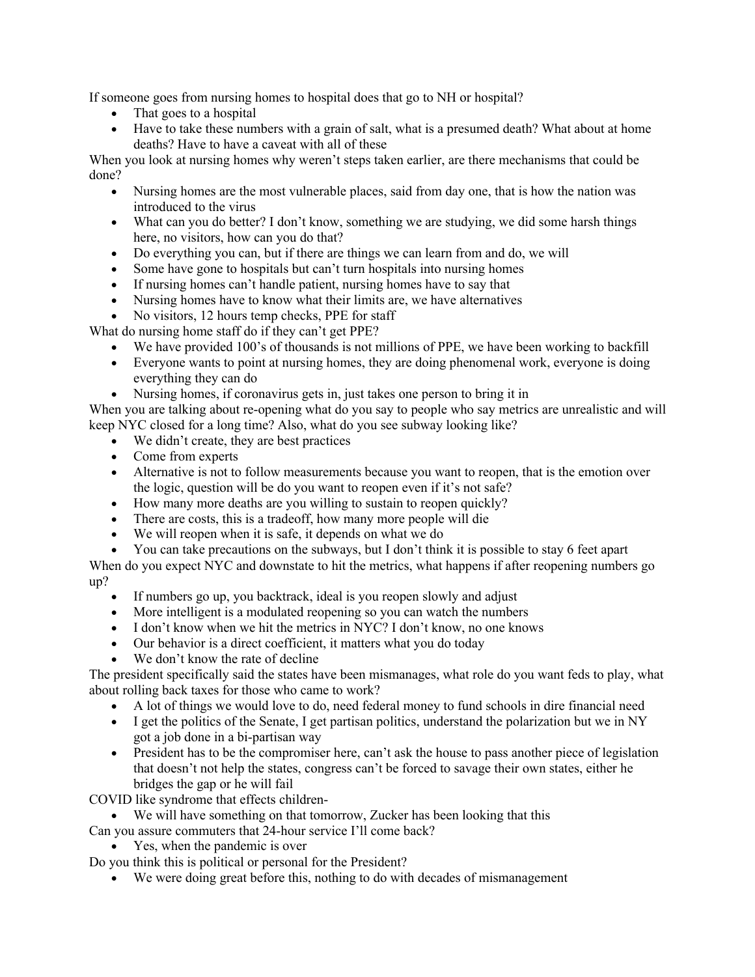If someone goes from nursing homes to hospital does that go to NH or hospital?

- That goes to a hospital
- Have to take these numbers with a grain of salt, what is a presumed death? What about at home deaths? Have to have a caveat with all of these

When you look at nursing homes why weren't steps taken earlier, are there mechanisms that could be done?

- Nursing homes are the most vulnerable places, said from day one, that is how the nation was introduced to the virus
- What can you do better? I don't know, something we are studying, we did some harsh things here, no visitors, how can you do that?
- Do everything you can, but if there are things we can learn from and do, we will
- Some have gone to hospitals but can't turn hospitals into nursing homes
- If nursing homes can't handle patient, nursing homes have to say that
- Nursing homes have to know what their limits are, we have alternatives
- No visitors, 12 hours temp checks, PPE for staff

What do nursing home staff do if they can't get PPE?

- We have provided 100's of thousands is not millions of PPE, we have been working to backfill
- Everyone wants to point at nursing homes, they are doing phenomenal work, everyone is doing everything they can do
- Nursing homes, if coronavirus gets in, just takes one person to bring it in

When you are talking about re-opening what do you say to people who say metrics are unrealistic and will keep NYC closed for a long time? Also, what do you see subway looking like?

- We didn't create, they are best practices
- Come from experts
- Alternative is not to follow measurements because you want to reopen, that is the emotion over the logic, question will be do you want to reopen even if it's not safe?
- How many more deaths are you willing to sustain to reopen quickly?
- There are costs, this is a tradeoff, how many more people will die
- We will reopen when it is safe, it depends on what we do
- You can take precautions on the subways, but I don't think it is possible to stay 6 feet apart

When do you expect NYC and downstate to hit the metrics, what happens if after reopening numbers go up?

- If numbers go up, you backtrack, ideal is you reopen slowly and adjust
- More intelligent is a modulated reopening so you can watch the numbers
- I don't know when we hit the metrics in NYC? I don't know, no one knows
- Our behavior is a direct coefficient, it matters what you do today
- We don't know the rate of decline

The president specifically said the states have been mismanages, what role do you want feds to play, what about rolling back taxes for those who came to work?

- A lot of things we would love to do, need federal money to fund schools in dire financial need
- I get the politics of the Senate, I get partisan politics, understand the polarization but we in NY got a job done in a bi-partisan way
- President has to be the compromiser here, can't ask the house to pass another piece of legislation that doesn't not help the states, congress can't be forced to savage their own states, either he bridges the gap or he will fail

COVID like syndrome that effects children-

- We will have something on that tomorrow, Zucker has been looking that this
- Can you assure commuters that 24-hour service I'll come back?
	- Yes, when the pandemic is over

Do you think this is political or personal for the President?

• We were doing great before this, nothing to do with decades of mismanagement